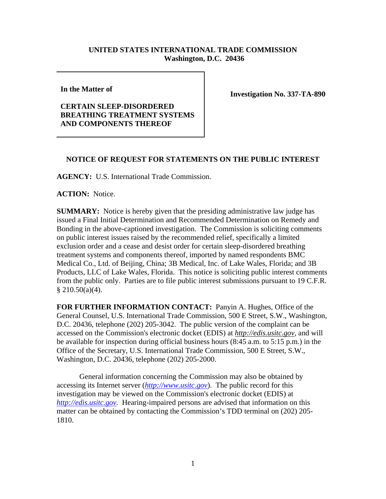## **UNITED STATES INTERNATIONAL TRADE COMMISSION Washington, D.C. 20436**

**In the Matter of** 

## **CERTAIN SLEEP-DISORDERED BREATHING TREATMENT SYSTEMS AND COMPONENTS THEREOF**

**Investigation No. 337-TA-890**

## **NOTICE OF REQUEST FOR STATEMENTS ON THE PUBLIC INTEREST**

**AGENCY:** U.S. International Trade Commission.

**ACTION:** Notice.

**SUMMARY:** Notice is hereby given that the presiding administrative law judge has issued a Final Initial Determination and Recommended Determination on Remedy and Bonding in the above-captioned investigation. The Commission is soliciting comments on public interest issues raised by the recommended relief, specifically a limited exclusion order and a cease and desist order for certain sleep-disordered breathing treatment systems and components thereof, imported by named respondents BMC Medical Co., Ltd. of Beijing, China; 3B Medical, Inc. of Lake Wales, Florida; and 3B Products, LLC of Lake Wales, Florida. This notice is soliciting public interest comments from the public only. Parties are to file public interest submissions pursuant to 19 C.F.R.  $§ 210.50(a)(4).$ 

**FOR FURTHER INFORMATION CONTACT:** Panyin A. Hughes, Office of the General Counsel, U.S. International Trade Commission, 500 E Street, S.W., Washington, D.C. 20436, telephone (202) 205-3042. The public version of the complaint can be accessed on the Commission's electronic docket (EDIS) at *http://edis.usitc.gov*, and will be available for inspection during official business hours (8:45 a.m. to 5:15 p.m.) in the Office of the Secretary, U.S. International Trade Commission, 500 E Street, S.W., Washington, D.C. 20436, telephone (202) 205-2000.

General information concerning the Commission may also be obtained by accessing its Internet server (*http://www.usitc.gov*). The public record for this investigation may be viewed on the Commission's electronic docket (EDIS) at *http://edis.usitc.gov.* Hearing-impaired persons are advised that information on this matter can be obtained by contacting the Commission's TDD terminal on (202) 205- 1810.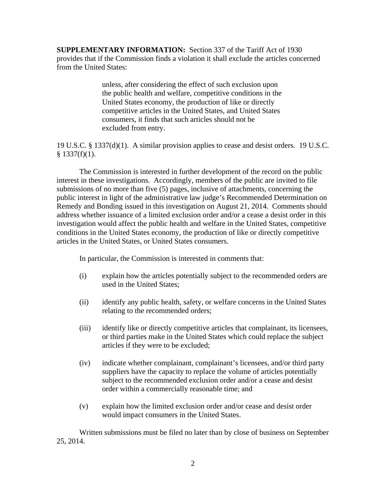**SUPPLEMENTARY INFORMATION:** Section 337 of the Tariff Act of 1930 provides that if the Commission finds a violation it shall exclude the articles concerned from the United States:

> unless, after considering the effect of such exclusion upon the public health and welfare, competitive conditions in the United States economy, the production of like or directly competitive articles in the United States, and United States consumers, it finds that such articles should not be excluded from entry.

19 U.S.C. § 1337(d)(1). A similar provision applies to cease and desist orders. 19 U.S.C.  $§$  1337(f)(1).

The Commission is interested in further development of the record on the public interest in these investigations. Accordingly, members of the public are invited to file submissions of no more than five (5) pages, inclusive of attachments, concerning the public interest in light of the administrative law judge's Recommended Determination on Remedy and Bonding issued in this investigation on August 21, 2014. Comments should address whether issuance of a limited exclusion order and/or a cease a desist order in this investigation would affect the public health and welfare in the United States, competitive conditions in the United States economy, the production of like or directly competitive articles in the United States, or United States consumers.

In particular, the Commission is interested in comments that:

- (i) explain how the articles potentially subject to the recommended orders are used in the United States;
- (ii) identify any public health, safety, or welfare concerns in the United States relating to the recommended orders;
- (iii) identify like or directly competitive articles that complainant, its licensees, or third parties make in the United States which could replace the subject articles if they were to be excluded;
- (iv) indicate whether complainant, complainant's licensees, and/or third party suppliers have the capacity to replace the volume of articles potentially subject to the recommended exclusion order and/or a cease and desist order within a commercially reasonable time; and
- (v) explain how the limited exclusion order and/or cease and desist order would impact consumers in the United States.

Written submissions must be filed no later than by close of business on September 25, 2014.